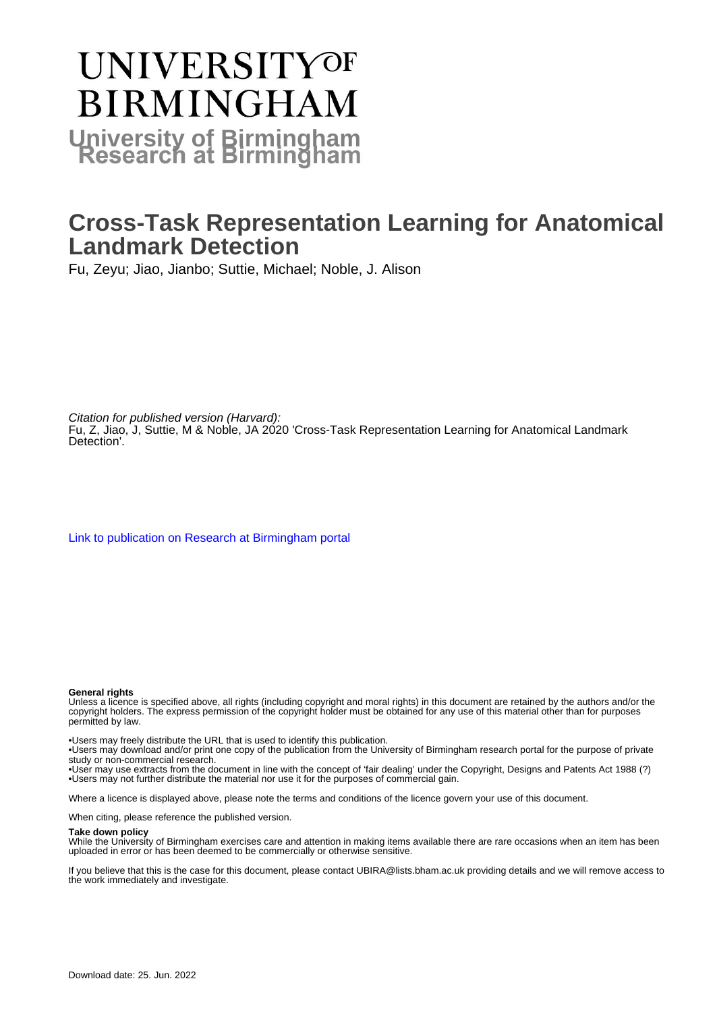# **UNIVERSITYOF BIRMINGHAM University of Birmingham**

## **Cross-Task Representation Learning for Anatomical Landmark Detection**

Fu, Zeyu; Jiao, Jianbo; Suttie, Michael; Noble, J. Alison

Citation for published version (Harvard): Fu, Z, Jiao, J, Suttie, M & Noble, JA 2020 'Cross-Task Representation Learning for Anatomical Landmark Detection'.

[Link to publication on Research at Birmingham portal](https://birmingham.elsevierpure.com/en/publications/31dba549-61ff-4ce1-9b1e-67ec7807b884)

#### **General rights**

Unless a licence is specified above, all rights (including copyright and moral rights) in this document are retained by the authors and/or the copyright holders. The express permission of the copyright holder must be obtained for any use of this material other than for purposes permitted by law.

• Users may freely distribute the URL that is used to identify this publication.

• Users may download and/or print one copy of the publication from the University of Birmingham research portal for the purpose of private study or non-commercial research.

• User may use extracts from the document in line with the concept of 'fair dealing' under the Copyright, Designs and Patents Act 1988 (?) • Users may not further distribute the material nor use it for the purposes of commercial gain.

Where a licence is displayed above, please note the terms and conditions of the licence govern your use of this document.

When citing, please reference the published version.

#### **Take down policy**

While the University of Birmingham exercises care and attention in making items available there are rare occasions when an item has been uploaded in error or has been deemed to be commercially or otherwise sensitive.

If you believe that this is the case for this document, please contact UBIRA@lists.bham.ac.uk providing details and we will remove access to the work immediately and investigate.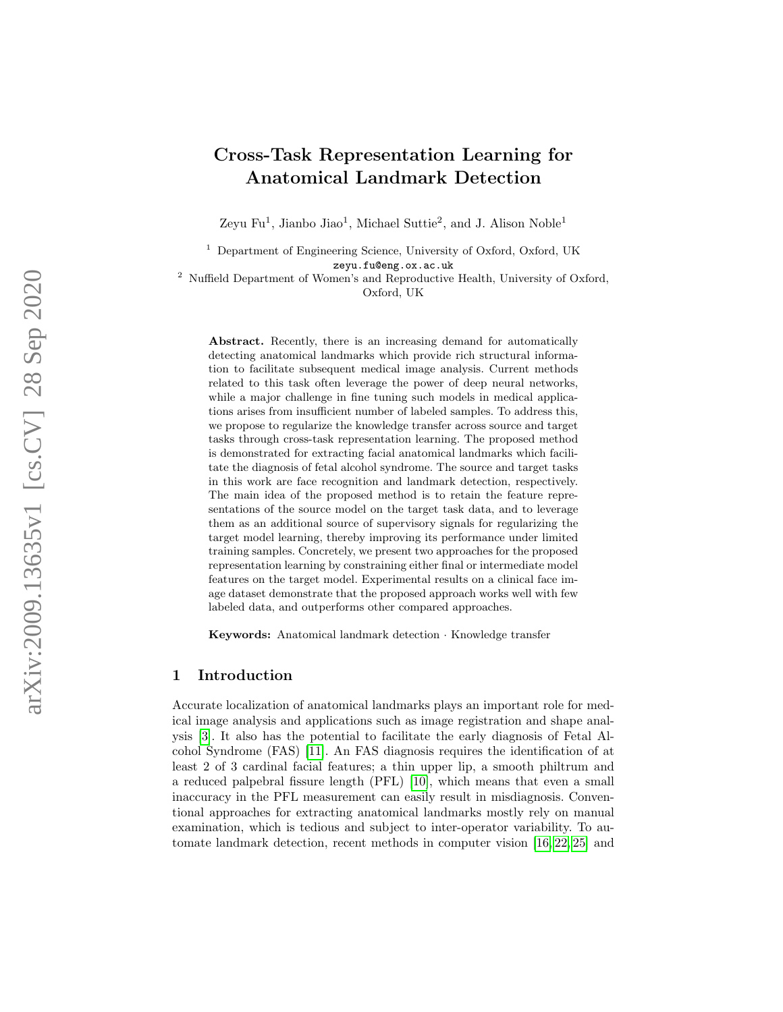### Cross-Task Representation Learning for Anatomical Landmark Detection

Zeyu Fu<sup>1</sup>, Jianbo Jiao<sup>1</sup>, Michael Suttie<sup>2</sup>, and J. Alison Noble<sup>1</sup>

<sup>1</sup> Department of Engineering Science, University of Oxford, Oxford, UK zeyu.fu@eng.ox.ac.uk

<sup>2</sup> Nuffield Department of Women's and Reproductive Health, University of Oxford, Oxford, UK

Abstract. Recently, there is an increasing demand for automatically detecting anatomical landmarks which provide rich structural information to facilitate subsequent medical image analysis. Current methods related to this task often leverage the power of deep neural networks, while a major challenge in fine tuning such models in medical applications arises from insufficient number of labeled samples. To address this, we propose to regularize the knowledge transfer across source and target tasks through cross-task representation learning. The proposed method is demonstrated for extracting facial anatomical landmarks which facilitate the diagnosis of fetal alcohol syndrome. The source and target tasks in this work are face recognition and landmark detection, respectively. The main idea of the proposed method is to retain the feature representations of the source model on the target task data, and to leverage them as an additional source of supervisory signals for regularizing the target model learning, thereby improving its performance under limited training samples. Concretely, we present two approaches for the proposed representation learning by constraining either final or intermediate model features on the target model. Experimental results on a clinical face image dataset demonstrate that the proposed approach works well with few labeled data, and outperforms other compared approaches.

Keywords: Anatomical landmark detection · Knowledge transfer

#### 1 Introduction

Accurate localization of anatomical landmarks plays an important role for medical image analysis and applications such as image registration and shape analysis [\[3\]](#page-9-0). It also has the potential to facilitate the early diagnosis of Fetal Alcohol Syndrome (FAS) [\[11\]](#page-9-1). An FAS diagnosis requires the identification of at least 2 of 3 cardinal facial features; a thin upper lip, a smooth philtrum and a reduced palpebral fissure length (PFL) [\[10\]](#page-9-2), which means that even a small inaccuracy in the PFL measurement can easily result in misdiagnosis. Conventional approaches for extracting anatomical landmarks mostly rely on manual examination, which is tedious and subject to inter-operator variability. To automate landmark detection, recent methods in computer vision [\[16,](#page-9-3) [22,](#page-10-0) [25\]](#page-10-1) and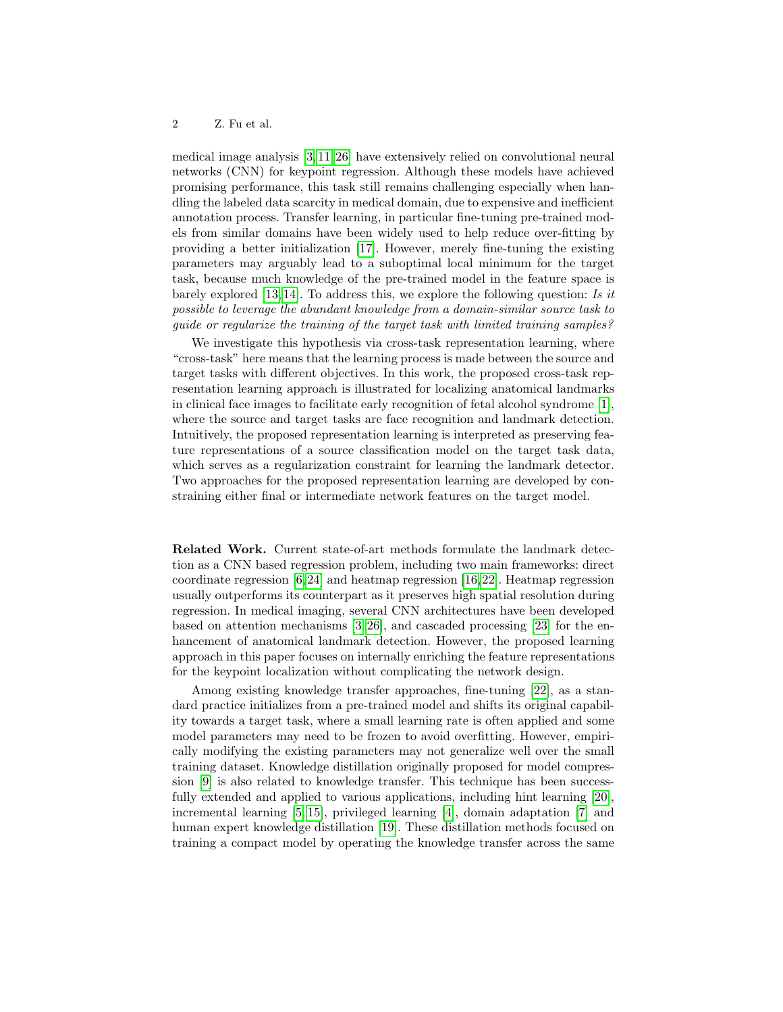#### 2 Z. Fu et al.

medical image analysis [\[3,](#page-9-0) [11,](#page-9-1) [26\]](#page-10-2) have extensively relied on convolutional neural networks (CNN) for keypoint regression. Although these models have achieved promising performance, this task still remains challenging especially when handling the labeled data scarcity in medical domain, due to expensive and inefficient annotation process. Transfer learning, in particular fine-tuning pre-trained models from similar domains have been widely used to help reduce over-fitting by providing a better initialization [\[17\]](#page-9-4). However, merely fine-tuning the existing parameters may arguably lead to a suboptimal local minimum for the target task, because much knowledge of the pre-trained model in the feature space is barely explored  $[13, 14]$  $[13, 14]$ . To address this, we explore the following question: Is it possible to leverage the abundant knowledge from a domain-similar source task to guide or regularize the training of the target task with limited training samples?

We investigate this hypothesis via cross-task representation learning, where "cross-task" here means that the learning process is made between the source and target tasks with different objectives. In this work, the proposed cross-task representation learning approach is illustrated for localizing anatomical landmarks in clinical face images to facilitate early recognition of fetal alcohol syndrome [\[1\]](#page-8-0), where the source and target tasks are face recognition and landmark detection. Intuitively, the proposed representation learning is interpreted as preserving feature representations of a source classification model on the target task data, which serves as a regularization constraint for learning the landmark detector. Two approaches for the proposed representation learning are developed by constraining either final or intermediate network features on the target model.

Related Work. Current state-of-art methods formulate the landmark detection as a CNN based regression problem, including two main frameworks: direct coordinate regression  $[6,24]$  $[6,24]$  and heatmap regression [\[16,](#page-9-3)[22\]](#page-10-0). Heatmap regression usually outperforms its counterpart as it preserves high spatial resolution during regression. In medical imaging, several CNN architectures have been developed based on attention mechanisms [\[3,](#page-9-0) [26\]](#page-10-2), and cascaded processing [\[23\]](#page-10-4) for the enhancement of anatomical landmark detection. However, the proposed learning approach in this paper focuses on internally enriching the feature representations for the keypoint localization without complicating the network design.

Among existing knowledge transfer approaches, fine-tuning [\[22\]](#page-10-0), as a standard practice initializes from a pre-trained model and shifts its original capability towards a target task, where a small learning rate is often applied and some model parameters may need to be frozen to avoid overfitting. However, empirically modifying the existing parameters may not generalize well over the small training dataset. Knowledge distillation originally proposed for model compression [\[9\]](#page-9-8) is also related to knowledge transfer. This technique has been successfully extended and applied to various applications, including hint learning [\[20\]](#page-10-5), incremental learning [\[5,](#page-9-9) [15\]](#page-9-10), privileged learning [\[4\]](#page-9-11), domain adaptation [\[7\]](#page-9-12) and human expert knowledge distillation [\[19\]](#page-9-13). These distillation methods focused on training a compact model by operating the knowledge transfer across the same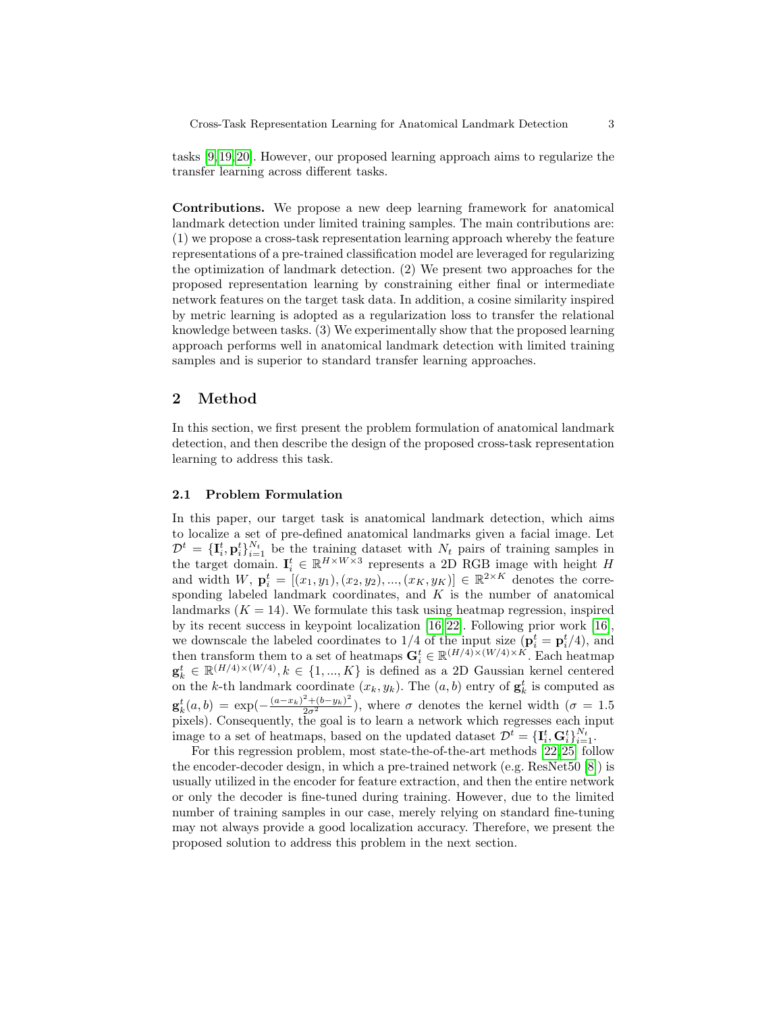Cross-Task Representation Learning for Anatomical Landmark Detection 3

tasks [\[9,](#page-9-8) [19,](#page-9-13) [20\]](#page-10-5). However, our proposed learning approach aims to regularize the transfer learning across different tasks.

Contributions. We propose a new deep learning framework for anatomical landmark detection under limited training samples. The main contributions are: (1) we propose a cross-task representation learning approach whereby the feature representations of a pre-trained classification model are leveraged for regularizing the optimization of landmark detection. (2) We present two approaches for the proposed representation learning by constraining either final or intermediate network features on the target task data. In addition, a cosine similarity inspired by metric learning is adopted as a regularization loss to transfer the relational knowledge between tasks. (3) We experimentally show that the proposed learning approach performs well in anatomical landmark detection with limited training samples and is superior to standard transfer learning approaches.

#### 2 Method

In this section, we first present the problem formulation of anatomical landmark detection, and then describe the design of the proposed cross-task representation learning to address this task.

#### 2.1 Problem Formulation

In this paper, our target task is anatomical landmark detection, which aims to localize a set of pre-defined anatomical landmarks given a facial image. Let  $\mathcal{D}^t = {\{\mathbf{I}_i^t, \mathbf{p}_i^t\}}_{i=1}^{N_t}$  be the training dataset with  $N_t$  pairs of training samples in the target domain.  $I_i^t \in \mathbb{R}^{H \times W \times 3}$  represents a 2D RGB image with height H and width  $W, p_i^t = [(x_1, y_1), (x_2, y_2), ..., (x_K, y_K)] \in \mathbb{R}^{2 \times K}$  denotes the corresponding labeled landmark coordinates, and  $K$  is the number of anatomical landmarks  $(K = 14)$ . We formulate this task using heatmap regression, inspired by its recent success in keypoint localization [\[16,](#page-9-3) [22\]](#page-10-0). Following prior work [\[16\]](#page-9-3), we downscale the labeled coordinates to  $1/4$  of the input size  $(\mathbf{p}_i^t = \mathbf{p}_i^t/4)$ , and then transform them to a set of heatmaps  $\mathbf{G}_i^t \in \mathbb{R}^{(H/4)\times (W/4)\times K}$ . Each heatmap  ${\bf g}_k^t \in \mathbb{R}^{(H/4)\times (W/4)}, k \in \{1, ..., K\}$  is defined as a 2D Gaussian kernel centered on the k-th landmark coordinate  $(x_k, y_k)$ . The  $(a, b)$  entry of  $\mathbf{g}_k^t$  is computed as  $\mathbf{g}_k^t(a,b) = \exp(-\frac{(a-x_k)^2 + (b-y_k)^2}{2\sigma^2})$ , where  $\sigma$  denotes the kernel width  $(\sigma = 1.5)$ pixels). Consequently, the goal is to learn a network which regresses each input image to a set of heatmaps, based on the updated dataset  $\mathcal{D}^t = {\{\mathbf{I}_i^t, \mathbf{G}_i^t\}_{i=1}^{N_t}}$ .

For this regression problem, most state-the-of-the-art methods [\[22,](#page-10-0)[25\]](#page-10-1) follow the encoder-decoder design, in which a pre-trained network (e.g. ResNet50 [\[8\]](#page-9-14)) is usually utilized in the encoder for feature extraction, and then the entire network or only the decoder is fine-tuned during training. However, due to the limited number of training samples in our case, merely relying on standard fine-tuning may not always provide a good localization accuracy. Therefore, we present the proposed solution to address this problem in the next section.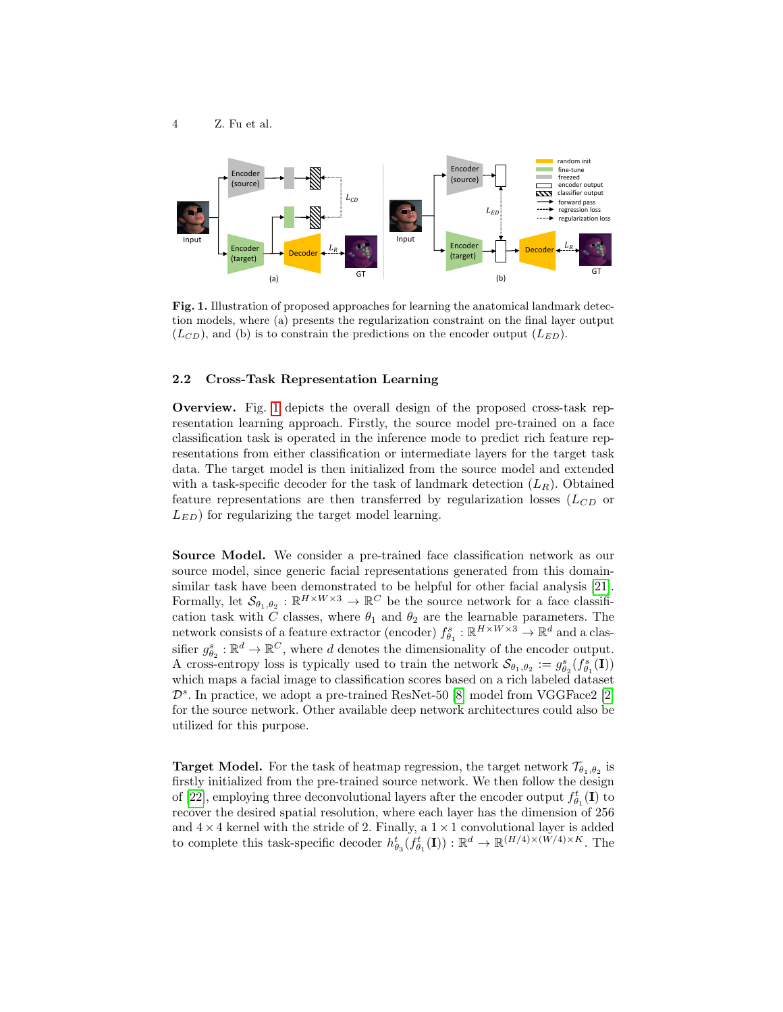

<span id="page-4-0"></span>Fig. 1. Illustration of proposed approaches for learning the anatomical landmark detection models, where (a) presents the regularization constraint on the final layer output  $(L_{CD})$ , and (b) is to constrain the predictions on the encoder output  $(L_{ED})$ .

#### 2.2 Cross-Task Representation Learning

Overview. Fig. [1](#page-4-0) depicts the overall design of the proposed cross-task representation learning approach. Firstly, the source model pre-trained on a face classification task is operated in the inference mode to predict rich feature representations from either classification or intermediate layers for the target task data. The target model is then initialized from the source model and extended with a task-specific decoder for the task of landmark detection  $(L_R)$ . Obtained feature representations are then transferred by regularization losses  $(L_{CD}$  or  $L_{ED}$ ) for regularizing the target model learning.

Source Model. We consider a pre-trained face classification network as our source model, since generic facial representations generated from this domainsimilar task have been demonstrated to be helpful for other facial analysis [\[21\]](#page-10-6). Formally, let  $\mathcal{S}_{\theta_1,\theta_2} : \mathbb{R}^{H \times W \times 3} \to \mathbb{R}^C$  be the source network for a face classification task with C classes, where  $\theta_1$  and  $\theta_2$  are the learnable parameters. The network consists of a feature extractor (encoder)  $f_{\theta_1}^s : \mathbb{R}^{H \times W \times 3} \to \mathbb{R}^d$  and a classifier  $g_{\theta_2}^s : \mathbb{R}^d \to \mathbb{R}^C$ , where d denotes the dimensionality of the encoder output. A cross-entropy loss is typically used to train the network  $\mathcal{S}_{\theta_1,\theta_2} := g_{\theta_2}^s(f_{\theta_1}^s(\mathbf{I}))$ which maps a facial image to classification scores based on a rich labeled dataset  $\mathcal{D}^s$ . In practice, we adopt a pre-trained ResNet-50 [\[8\]](#page-9-14) model from VGGFace2 [\[2\]](#page-9-15) for the source network. Other available deep network architectures could also be utilized for this purpose.

**Target Model.** For the task of heatmap regression, the target network  $\mathcal{T}_{\theta_1,\theta_2}$  is firstly initialized from the pre-trained source network. We then follow the design of [\[22\]](#page-10-0), employing three deconvolutional layers after the encoder output  $f_{\theta_1}^t(\mathbf{I})$  to recover the desired spatial resolution, where each layer has the dimension of 256 and  $4 \times 4$  kernel with the stride of 2. Finally, a  $1 \times 1$  convolutional layer is added to complete this task-specific decoder  $h_{\theta_3}^t(f_{\theta_1}^t(\mathbf{I})) : \mathbb{R}^d \to \mathbb{R}^{(H/4)\times(W/4)\times K}$ . The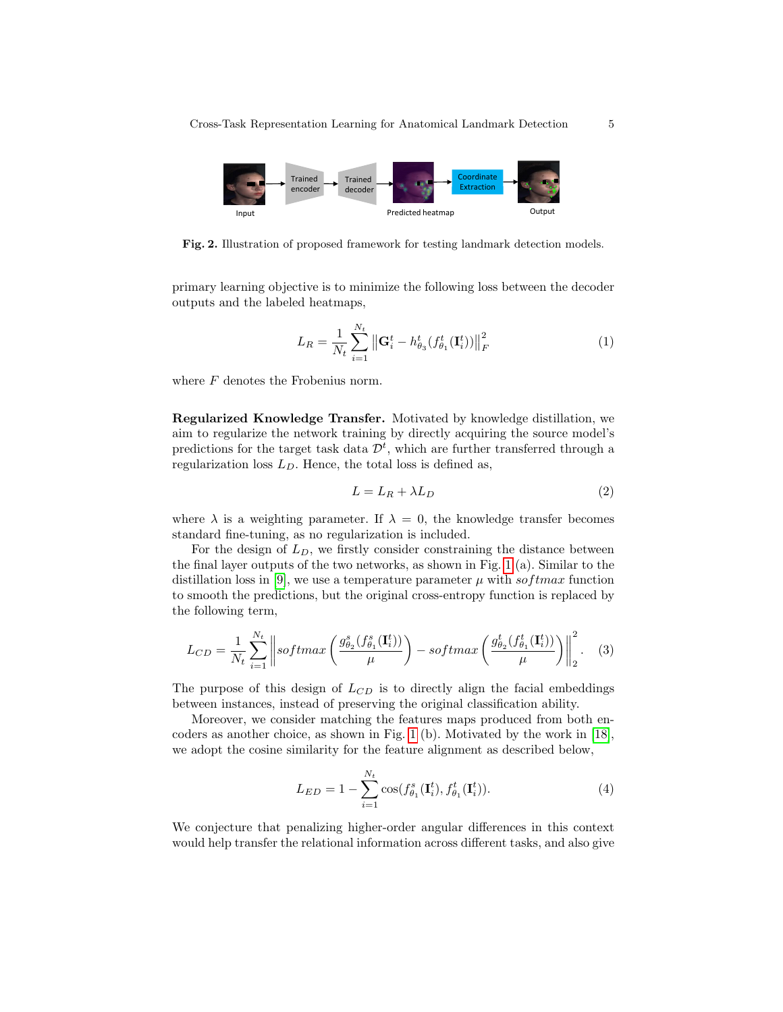

<span id="page-5-0"></span>Fig. 2. Illustration of proposed framework for testing landmark detection models.

primary learning objective is to minimize the following loss between the decoder outputs and the labeled heatmaps,

$$
L_R = \frac{1}{N_t} \sum_{i=1}^{N_t} \left\| \mathbf{G}_i^t - h_{\theta_3}^t(f_{\theta_1}^t(\mathbf{I}_i^t)) \right\|_F^2
$$
 (1)

where  $F$  denotes the Frobenius norm.

Regularized Knowledge Transfer. Motivated by knowledge distillation, we aim to regularize the network training by directly acquiring the source model's predictions for the target task data  $\mathcal{D}^t$ , which are further transferred through a regularization loss  $L<sub>D</sub>$ . Hence, the total loss is defined as,

<span id="page-5-1"></span>
$$
L = L_R + \lambda L_D \tag{2}
$$

where  $\lambda$  is a weighting parameter. If  $\lambda = 0$ , the knowledge transfer becomes standard fine-tuning, as no regularization is included.

For the design of  $L<sub>D</sub>$ , we firstly consider constraining the distance between the final layer outputs of the two networks, as shown in Fig. [1](#page-4-0) (a). Similar to the distillation loss in [\[9\]](#page-9-8), we use a temperature parameter  $\mu$  with softmax function to smooth the predictions, but the original cross-entropy function is replaced by the following term,

<span id="page-5-2"></span>
$$
L_{CD} = \frac{1}{N_t} \sum_{i=1}^{N_t} \left\| softmax\left(\frac{g_{\theta_2}^s(f_{\theta_1}^s(\mathbf{I}_i^t))}{\mu}\right) - softmax\left(\frac{g_{\theta_2}^t(f_{\theta_1}^t(\mathbf{I}_i^t))}{\mu}\right) \right\|_2^2.
$$
 (3)

The purpose of this design of  $L_{CD}$  is to directly align the facial embeddings between instances, instead of preserving the original classification ability.

Moreover, we consider matching the features maps produced from both encoders as another choice, as shown in Fig. [1](#page-4-0) (b). Motivated by the work in [\[18\]](#page-9-16), we adopt the cosine similarity for the feature alignment as described below,

$$
L_{ED} = 1 - \sum_{i=1}^{N_t} \cos(f_{\theta_1}^s(\mathbf{I}_i^t), f_{\theta_1}^t(\mathbf{I}_i^t)).
$$
\n(4)

We conjecture that penalizing higher-order angular differences in this context would help transfer the relational information across different tasks, and also give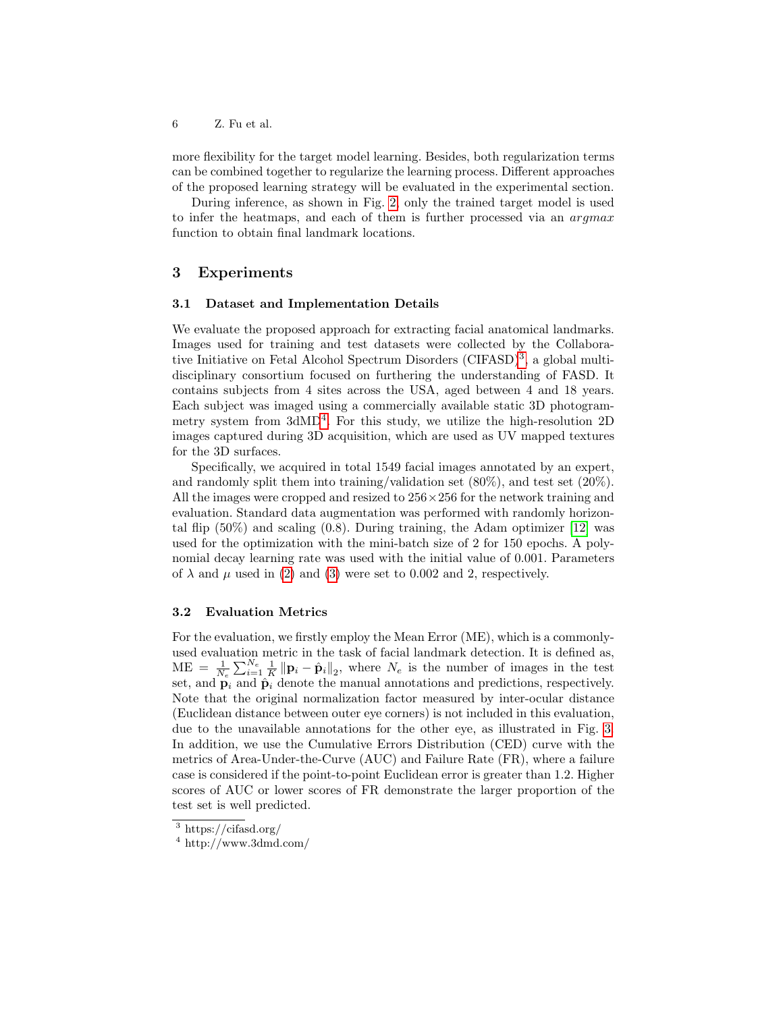6 Z. Fu et al.

more flexibility for the target model learning. Besides, both regularization terms can be combined together to regularize the learning process. Different approaches of the proposed learning strategy will be evaluated in the experimental section.

During inference, as shown in Fig. [2,](#page-5-0) only the trained target model is used to infer the heatmaps, and each of them is further processed via an argmax function to obtain final landmark locations.

#### 3 Experiments

#### 3.1 Dataset and Implementation Details

We evaluate the proposed approach for extracting facial anatomical landmarks. Images used for training and test datasets were collected by the Collabora-tive Initiative on Fetal Alcohol Spectrum Disorders (CIFASD)<sup>[3](#page-6-0)</sup>, a global multidisciplinary consortium focused on furthering the understanding of FASD. It contains subjects from 4 sites across the USA, aged between 4 and 18 years. Each subject was imaged using a commercially available static 3D photogrammetry system from 3dMD[4](#page-6-1) . For this study, we utilize the high-resolution 2D images captured during 3D acquisition, which are used as UV mapped textures for the 3D surfaces.

Specifically, we acquired in total 1549 facial images annotated by an expert, and randomly split them into training/validation set  $(80\%)$ , and test set  $(20\%)$ . All the images were cropped and resized to  $256 \times 256$  for the network training and evaluation. Standard data augmentation was performed with randomly horizontal flip  $(50\%)$  and scaling  $(0.8)$ . During training, the Adam optimizer [\[12\]](#page-9-17) was used for the optimization with the mini-batch size of 2 for 150 epochs. A polynomial decay learning rate was used with the initial value of 0.001. Parameters of  $\lambda$  and  $\mu$  used in [\(2\)](#page-5-1) and [\(3\)](#page-5-2) were set to 0.002 and 2, respectively.

#### 3.2 Evaluation Metrics

For the evaluation, we firstly employ the Mean Error (ME), which is a commonlyused evaluation metric in the task of facial landmark detection. It is defined as,  $ME = \frac{1}{N_e} \sum_{i=1}^{N_e} \frac{1}{K} ||\mathbf{p}_i - \hat{\mathbf{p}}_i||_2$ , where  $N_e$  is the number of images in the test set, and  $\hat{\mathbf{p}}_i$  and  $\hat{\mathbf{p}}_i$  denote the manual annotations and predictions, respectively. Note that the original normalization factor measured by inter-ocular distance (Euclidean distance between outer eye corners) is not included in this evaluation, due to the unavailable annotations for the other eye, as illustrated in Fig. [3.](#page-7-0) In addition, we use the Cumulative Errors Distribution (CED) curve with the metrics of Area-Under-the-Curve (AUC) and Failure Rate (FR), where a failure case is considered if the point-to-point Euclidean error is greater than 1.2. Higher scores of AUC or lower scores of FR demonstrate the larger proportion of the test set is well predicted.

<span id="page-6-0"></span><sup>3</sup> https://cifasd.org/

<span id="page-6-1"></span> $4 \text{ http://www.3dmd.com/}$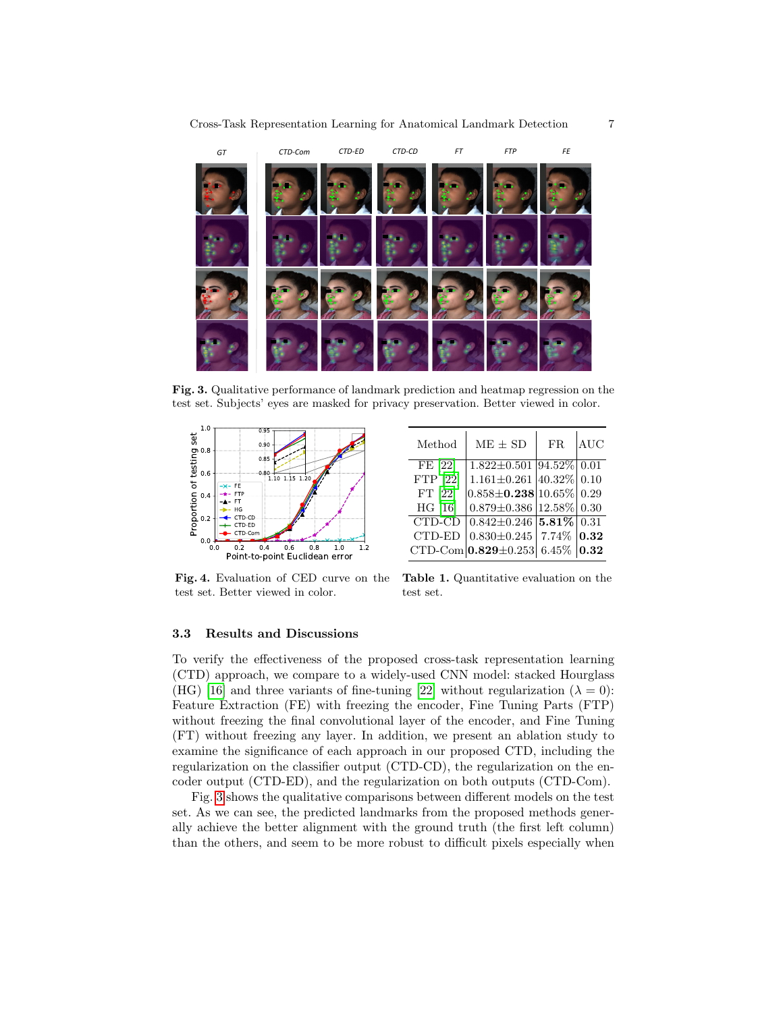

<span id="page-7-0"></span>Fig. 3. Qualitative performance of landmark prediction and heatmap regression on the test set. Subjects' eyes are masked for privacy preservation. Better viewed in color.



<span id="page-7-2"></span>Fig. 4. Evaluation of CED curve on the test set. Better viewed in color.

| Method    | $ME \pm SD$                                        | FR. | <b>AUC</b>     |
|-----------|----------------------------------------------------|-----|----------------|
| $FE$ [22] | $1.822 \pm 0.501$ 94.52%                           |     | 0.01           |
| FTP [22]  | $1.161 \pm 0.261$ 40.32%                           |     | 0.10           |
| FT [22]   | $ 0.858 \pm 0.238 10.65\%$                         |     | 0.29           |
| HG [16]   | $0.879 \pm 0.386$   12.58%                         |     | 0.30           |
| CTD-CD    | $0.842 \pm 0.246$ 5.81\%                           |     | 0.31           |
| CTD-ED    | $0.830 \pm 0.245$ 7.74\%                           |     | 0.32           |
|           | CTD-Com $\vert 0.829 \pm 0.253 \vert 6.45\% \vert$ |     | $ 0.32\rangle$ |

<span id="page-7-1"></span>Table 1. Quantitative evaluation on the test set.

#### 3.3 Results and Discussions

To verify the effectiveness of the proposed cross-task representation learning (CTD) approach, we compare to a widely-used CNN model: stacked Hourglass (HG) [\[16\]](#page-9-3) and three variants of fine-tuning [\[22\]](#page-10-0) without regularization ( $\lambda = 0$ ): Feature Extraction (FE) with freezing the encoder, Fine Tuning Parts (FTP) without freezing the final convolutional layer of the encoder, and Fine Tuning (FT) without freezing any layer. In addition, we present an ablation study to examine the significance of each approach in our proposed CTD, including the regularization on the classifier output (CTD-CD), the regularization on the encoder output (CTD-ED), and the regularization on both outputs (CTD-Com).

Fig. [3](#page-7-0) shows the qualitative comparisons between different models on the test set. As we can see, the predicted landmarks from the proposed methods generally achieve the better alignment with the ground truth (the first left column) than the others, and seem to be more robust to difficult pixels especially when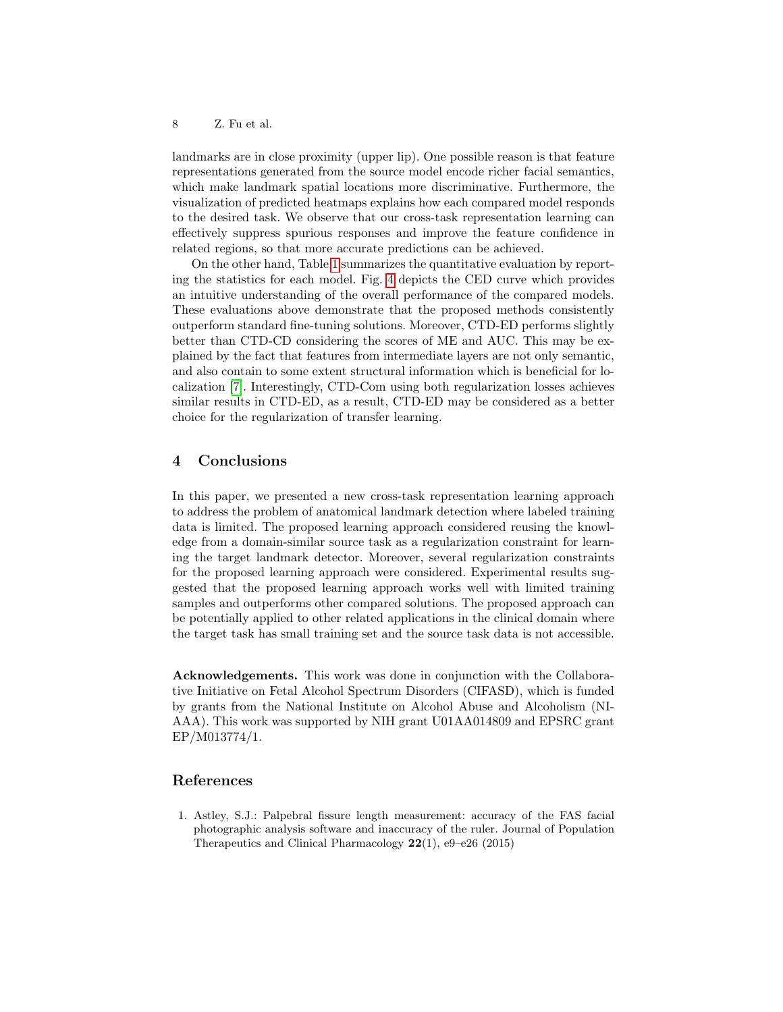#### 8 Z. Fu et al.

landmarks are in close proximity (upper lip). One possible reason is that feature representations generated from the source model encode richer facial semantics, which make landmark spatial locations more discriminative. Furthermore, the visualization of predicted heatmaps explains how each compared model responds to the desired task. We observe that our cross-task representation learning can effectively suppress spurious responses and improve the feature confidence in related regions, so that more accurate predictions can be achieved.

On the other hand, Table [1](#page-7-1) summarizes the quantitative evaluation by reporting the statistics for each model. Fig. [4](#page-7-2) depicts the CED curve which provides an intuitive understanding of the overall performance of the compared models. These evaluations above demonstrate that the proposed methods consistently outperform standard fine-tuning solutions. Moreover, CTD-ED performs slightly better than CTD-CD considering the scores of ME and AUC. This may be explained by the fact that features from intermediate layers are not only semantic, and also contain to some extent structural information which is beneficial for localization [\[7\]](#page-9-12). Interestingly, CTD-Com using both regularization losses achieves similar results in CTD-ED, as a result, CTD-ED may be considered as a better choice for the regularization of transfer learning.

#### 4 Conclusions

In this paper, we presented a new cross-task representation learning approach to address the problem of anatomical landmark detection where labeled training data is limited. The proposed learning approach considered reusing the knowledge from a domain-similar source task as a regularization constraint for learning the target landmark detector. Moreover, several regularization constraints for the proposed learning approach were considered. Experimental results suggested that the proposed learning approach works well with limited training samples and outperforms other compared solutions. The proposed approach can be potentially applied to other related applications in the clinical domain where the target task has small training set and the source task data is not accessible.

Acknowledgements. This work was done in conjunction with the Collaborative Initiative on Fetal Alcohol Spectrum Disorders (CIFASD), which is funded by grants from the National Institute on Alcohol Abuse and Alcoholism (NI-AAA). This work was supported by NIH grant U01AA014809 and EPSRC grant EP/M013774/1.

#### References

<span id="page-8-0"></span>1. Astley, S.J.: Palpebral fissure length measurement: accuracy of the FAS facial photographic analysis software and inaccuracy of the ruler. Journal of Population Therapeutics and Clinical Pharmacology  $22(1)$ , e9–e26 (2015)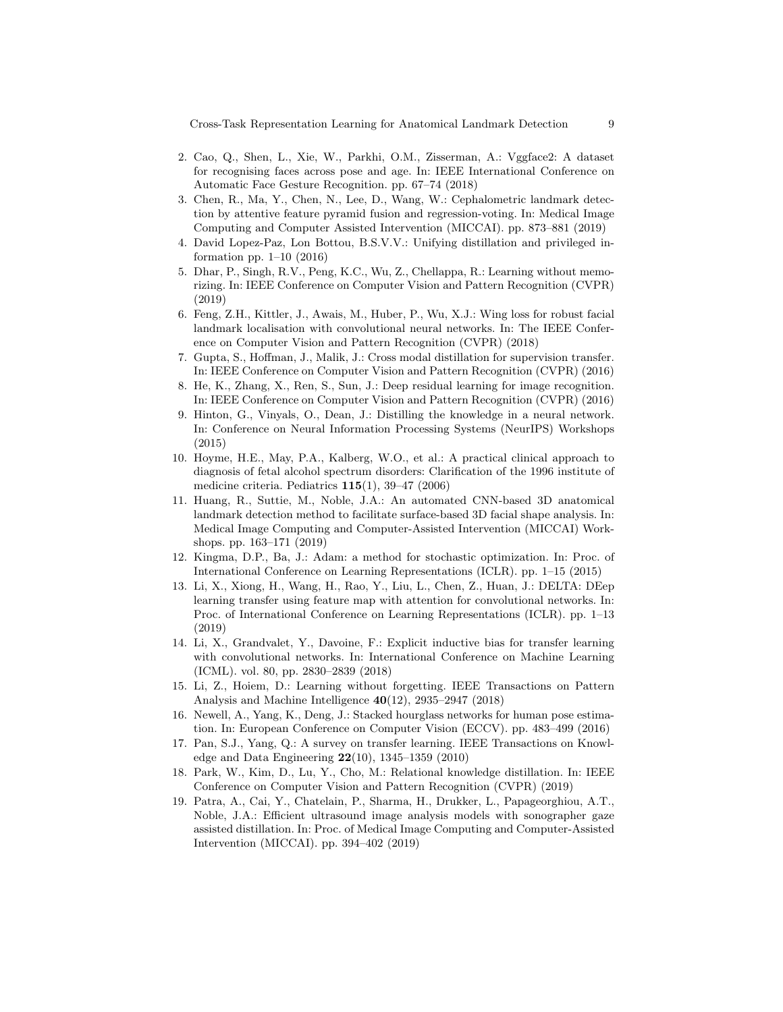Cross-Task Representation Learning for Anatomical Landmark Detection 9

- <span id="page-9-15"></span>2. Cao, Q., Shen, L., Xie, W., Parkhi, O.M., Zisserman, A.: Vggface2: A dataset for recognising faces across pose and age. In: IEEE International Conference on Automatic Face Gesture Recognition. pp. 67–74 (2018)
- <span id="page-9-0"></span>3. Chen, R., Ma, Y., Chen, N., Lee, D., Wang, W.: Cephalometric landmark detection by attentive feature pyramid fusion and regression-voting. In: Medical Image Computing and Computer Assisted Intervention (MICCAI). pp. 873–881 (2019)
- <span id="page-9-11"></span>4. David Lopez-Paz, Lon Bottou, B.S.V.V.: Unifying distillation and privileged information pp. 1–10 (2016)
- <span id="page-9-9"></span>5. Dhar, P., Singh, R.V., Peng, K.C., Wu, Z., Chellappa, R.: Learning without memorizing. In: IEEE Conference on Computer Vision and Pattern Recognition (CVPR) (2019)
- <span id="page-9-7"></span>6. Feng, Z.H., Kittler, J., Awais, M., Huber, P., Wu, X.J.: Wing loss for robust facial landmark localisation with convolutional neural networks. In: The IEEE Conference on Computer Vision and Pattern Recognition (CVPR) (2018)
- <span id="page-9-12"></span>7. Gupta, S., Hoffman, J., Malik, J.: Cross modal distillation for supervision transfer. In: IEEE Conference on Computer Vision and Pattern Recognition (CVPR) (2016)
- <span id="page-9-14"></span>8. He, K., Zhang, X., Ren, S., Sun, J.: Deep residual learning for image recognition. In: IEEE Conference on Computer Vision and Pattern Recognition (CVPR) (2016)
- <span id="page-9-8"></span>9. Hinton, G., Vinyals, O., Dean, J.: Distilling the knowledge in a neural network. In: Conference on Neural Information Processing Systems (NeurIPS) Workshops (2015)
- <span id="page-9-2"></span>10. Hoyme, H.E., May, P.A., Kalberg, W.O., et al.: A practical clinical approach to diagnosis of fetal alcohol spectrum disorders: Clarification of the 1996 institute of medicine criteria. Pediatrics  $115(1)$ , 39-47 (2006)
- <span id="page-9-1"></span>11. Huang, R., Suttie, M., Noble, J.A.: An automated CNN-based 3D anatomical landmark detection method to facilitate surface-based 3D facial shape analysis. In: Medical Image Computing and Computer-Assisted Intervention (MICCAI) Workshops. pp. 163–171 (2019)
- <span id="page-9-17"></span>12. Kingma, D.P., Ba, J.: Adam: a method for stochastic optimization. In: Proc. of International Conference on Learning Representations (ICLR). pp. 1–15 (2015)
- <span id="page-9-5"></span>13. Li, X., Xiong, H., Wang, H., Rao, Y., Liu, L., Chen, Z., Huan, J.: DELTA: DEep learning transfer using feature map with attention for convolutional networks. In: Proc. of International Conference on Learning Representations (ICLR). pp. 1–13 (2019)
- <span id="page-9-6"></span>14. Li, X., Grandvalet, Y., Davoine, F.: Explicit inductive bias for transfer learning with convolutional networks. In: International Conference on Machine Learning (ICML). vol. 80, pp. 2830–2839 (2018)
- <span id="page-9-10"></span>15. Li, Z., Hoiem, D.: Learning without forgetting. IEEE Transactions on Pattern Analysis and Machine Intelligence 40(12), 2935–2947 (2018)
- <span id="page-9-3"></span>16. Newell, A., Yang, K., Deng, J.: Stacked hourglass networks for human pose estimation. In: European Conference on Computer Vision (ECCV). pp. 483–499 (2016)
- <span id="page-9-4"></span>17. Pan, S.J., Yang, Q.: A survey on transfer learning. IEEE Transactions on Knowledge and Data Engineering 22(10), 1345–1359 (2010)
- <span id="page-9-16"></span>18. Park, W., Kim, D., Lu, Y., Cho, M.: Relational knowledge distillation. In: IEEE Conference on Computer Vision and Pattern Recognition (CVPR) (2019)
- <span id="page-9-13"></span>19. Patra, A., Cai, Y., Chatelain, P., Sharma, H., Drukker, L., Papageorghiou, A.T., Noble, J.A.: Efficient ultrasound image analysis models with sonographer gaze assisted distillation. In: Proc. of Medical Image Computing and Computer-Assisted Intervention (MICCAI). pp. 394–402 (2019)